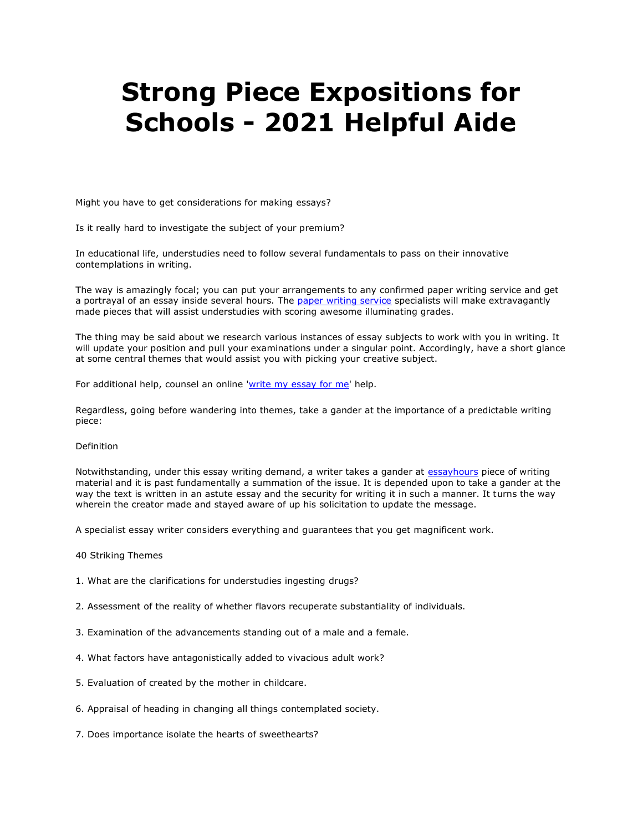## **Strong Piece Expositions for Schools - 2021 Helpful Aide**

Might you have to get considerations for making essays?

Is it really hard to investigate the subject of your premium?

In educational life, understudies need to follow several fundamentals to pass on their innovative contemplations in writing.

The way is amazingly focal; you can put your arrangements to any confirmed paper writing service and get a portrayal of an essay inside several hours. The [paper writing service](https://www.myperfectpaper.net/) specialists will make extravagantly made pieces that will assist understudies with scoring awesome illuminating grades.

The thing may be said about we research various instances of essay subjects to work with you in writing. It will update your position and pull your examinations under a singular point. Accordingly, have a short glance at some central themes that would assist you with picking your creative subject.

For additional help, counsel an online ['write my essay for me'](https://www.writemyessay.help/) help.

Regardless, going before wandering into themes, take a gander at the importance of a predictable writing piece:

## Definition

Notwithstanding, under this essay writing demand, a writer takes a gander at [essayhours](https://essayhours.com/) piece of writing material and it is past fundamentally a summation of the issue. It is depended upon to take a gander at the way the text is written in an astute essay and the security for writing it in such a manner. It turns the way wherein the creator made and stayed aware of up his solicitation to update the message.

A specialist essay writer considers everything and guarantees that you get magnificent work.

- 40 Striking Themes
- 1. What are the clarifications for understudies ingesting drugs?
- 2. Assessment of the reality of whether flavors recuperate substantiality of individuals.
- 3. Examination of the advancements standing out of a male and a female.
- 4. What factors have antagonistically added to vivacious adult work?
- 5. Evaluation of created by the mother in childcare.
- 6. Appraisal of heading in changing all things contemplated society.
- 7. Does importance isolate the hearts of sweethearts?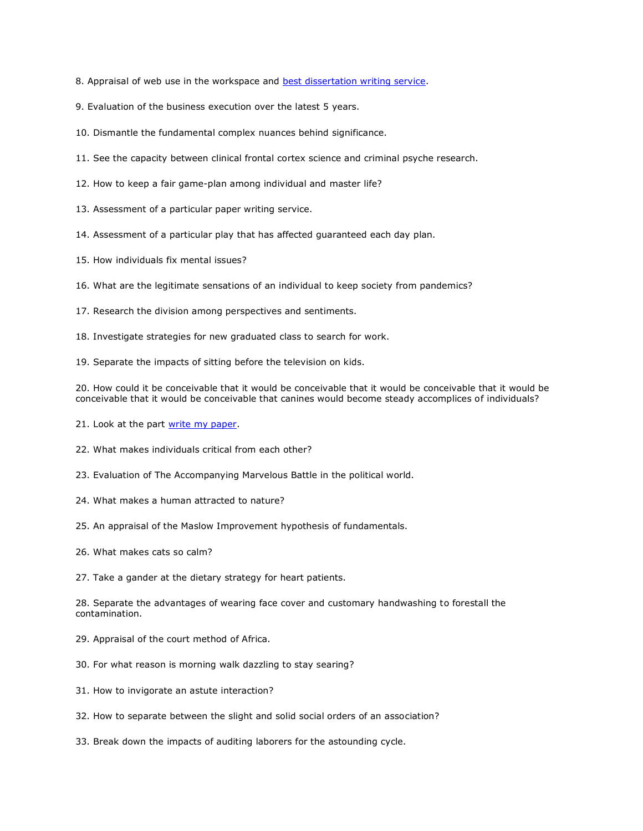- 8. Appraisal of web use in the workspace and [best dissertation writing service.](https://www.gradschoolgenius.com/dissertation-writing-services)
- 9. Evaluation of the business execution over the latest 5 years.
- 10. Dismantle the fundamental complex nuances behind significance.
- 11. See the capacity between clinical frontal cortex science and criminal psyche research.
- 12. How to keep a fair game-plan among individual and master life?
- 13. Assessment of a particular paper writing service.
- 14. Assessment of a particular play that has affected guaranteed each day plan.
- 15. How individuals fix mental issues?
- 16. What are the legitimate sensations of an individual to keep society from pandemics?
- 17. Research the division among perspectives and sentiments.
- 18. Investigate strategies for new graduated class to search for work.
- 19. Separate the impacts of sitting before the television on kids.

20. How could it be conceivable that it would be conceivable that it would be conceivable that it would be conceivable that it would be conceivable that canines would become steady accomplices of individuals?

- 21. Look at the part [write my paper.](https://www.myperfectpaper.net/)
- 22. What makes individuals critical from each other?
- 23. Evaluation of The Accompanying Marvelous Battle in the political world.
- 24. What makes a human attracted to nature?
- 25. An appraisal of the Maslow Improvement hypothesis of fundamentals.
- 26. What makes cats so calm?
- 27. Take a gander at the dietary strategy for heart patients.

28. Separate the advantages of wearing face cover and customary handwashing to forestall the contamination.

- 29. Appraisal of the court method of Africa.
- 30. For what reason is morning walk dazzling to stay searing?
- 31. How to invigorate an astute interaction?
- 32. How to separate between the slight and solid social orders of an association?
- 33. Break down the impacts of auditing laborers for the astounding cycle.